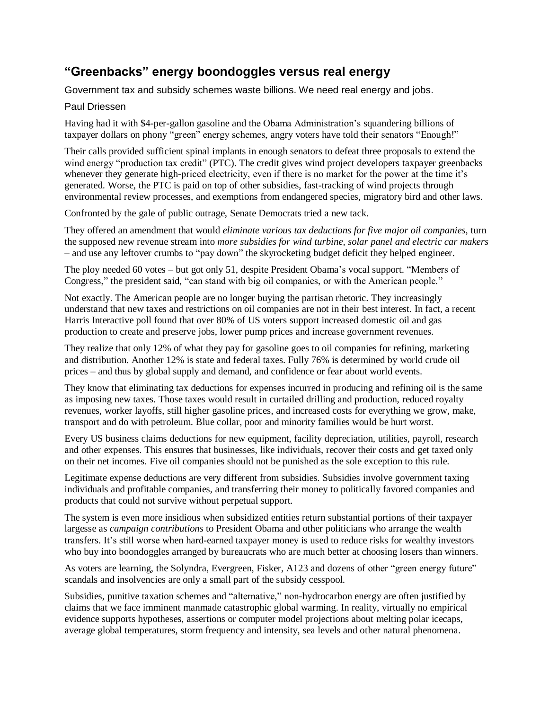## **"Greenbacks" energy boondoggles versus real energy**

Government tax and subsidy schemes waste billions. We need real energy and jobs.

## Paul Driessen

Having had it with \$4-per-gallon gasoline and the Obama Administration's squandering billions of taxpayer dollars on phony "green" energy schemes, angry voters have told their senators "Enough!"

Their calls provided sufficient spinal implants in enough senators to defeat three proposals to extend the wind energy "production tax credit" (PTC). The credit gives wind project developers taxpayer greenbacks whenever they generate high-priced electricity, even if there is no market for the power at the time it's generated. Worse, the PTC is paid on top of other subsidies, fast-tracking of wind projects through environmental review processes, and exemptions from endangered species, migratory bird and other laws.

Confronted by the gale of public outrage, Senate Democrats tried a new tack.

They offered an amendment that would *eliminate various tax deductions for five major oil companies*, turn the supposed new revenue stream into *more subsidies for wind turbine, solar panel and electric car makers* – and use any leftover crumbs to "pay down" the skyrocketing budget deficit they helped engineer.

The ploy needed 60 votes – but got only 51, despite President Obama's vocal support. "Members of Congress," the president said, "can stand with big oil companies, or with the American people."

Not exactly. The American people are no longer buying the partisan rhetoric. They increasingly understand that new taxes and restrictions on oil companies are not in their best interest. In fact, a recent Harris Interactive poll found that over 80% of US voters support increased domestic oil and gas production to create and preserve jobs, lower pump prices and increase government revenues.

They realize that only 12% of what they pay for gasoline goes to oil companies for refining, marketing and distribution. Another 12% is state and federal taxes. Fully 76% is determined by world crude oil prices – and thus by global supply and demand, and confidence or fear about world events.

They know that eliminating tax deductions for expenses incurred in producing and refining oil is the same as imposing new taxes. Those taxes would result in curtailed drilling and production, reduced royalty revenues, worker layoffs, still higher gasoline prices, and increased costs for everything we grow, make, transport and do with petroleum. Blue collar, poor and minority families would be hurt worst.

Every US business claims deductions for new equipment, facility depreciation, utilities, payroll, research and other expenses. This ensures that businesses, like individuals, recover their costs and get taxed only on their net incomes. Five oil companies should not be punished as the sole exception to this rule.

Legitimate expense deductions are very different from subsidies. Subsidies involve government taxing individuals and profitable companies, and transferring their money to politically favored companies and products that could not survive without perpetual support.

The system is even more insidious when subsidized entities return substantial portions of their taxpayer largesse as *campaign contributions* to President Obama and other politicians who arrange the wealth transfers. It's still worse when hard-earned taxpayer money is used to reduce risks for wealthy investors who buy into boondoggles arranged by bureaucrats who are much better at choosing losers than winners.

As voters are learning, the Solyndra, Evergreen, Fisker, A123 and dozens of other "green energy future" scandals and insolvencies are only a small part of the subsidy cesspool.

Subsidies, punitive taxation schemes and "alternative," non-hydrocarbon energy are often justified by claims that we face imminent manmade catastrophic global warming. In reality, virtually no empirical evidence supports hypotheses, assertions or computer model projections about melting polar icecaps, average global temperatures, storm frequency and intensity, sea levels and other natural phenomena.